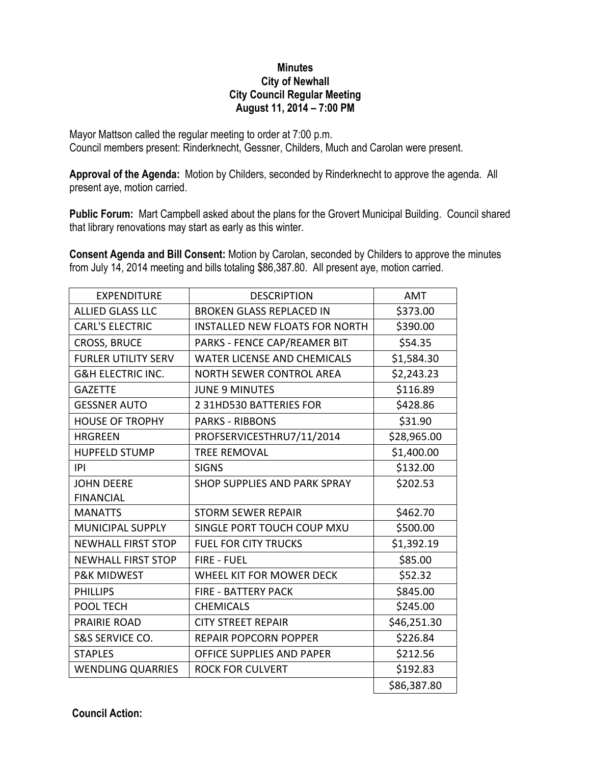## **Minutes City of Newhall City Council Regular Meeting August 11, 2014 – 7:00 PM**

Mayor Mattson called the regular meeting to order at 7:00 p.m. Council members present: Rinderknecht, Gessner, Childers, Much and Carolan were present.

**Approval of the Agenda:** Motion by Childers, seconded by Rinderknecht to approve the agenda. All present aye, motion carried.

**Public Forum:** Mart Campbell asked about the plans for the Grovert Municipal Building. Council shared that library renovations may start as early as this winter.

**Consent Agenda and Bill Consent:** Motion by Carolan, seconded by Childers to approve the minutes from July 14, 2014 meeting and bills totaling \$86,387.80. All present aye, motion carried.

| <b>EXPENDITURE</b>           | <b>DESCRIPTION</b>                    | AMT         |
|------------------------------|---------------------------------------|-------------|
| <b>ALLIED GLASS LLC</b>      | <b>BROKEN GLASS REPLACED IN</b>       | \$373.00    |
| <b>CARL'S ELECTRIC</b>       | <b>INSTALLED NEW FLOATS FOR NORTH</b> | \$390.00    |
| <b>CROSS, BRUCE</b>          | PARKS - FENCE CAP/REAMER BIT          | \$54.35     |
| <b>FURLER UTILITY SERV</b>   | <b>WATER LICENSE AND CHEMICALS</b>    | \$1,584.30  |
| <b>G&amp;H ELECTRIC INC.</b> | <b>NORTH SEWER CONTROL AREA</b>       | \$2,243.23  |
| <b>GAZETTE</b>               | <b>JUNE 9 MINUTES</b>                 | \$116.89    |
| <b>GESSNER AUTO</b>          | 2 31HD530 BATTERIES FOR               | \$428.86    |
| <b>HOUSE OF TROPHY</b>       | <b>PARKS - RIBBONS</b>                | \$31.90     |
| <b>HRGREEN</b>               | PROFSERVICESTHRU7/11/2014             | \$28,965.00 |
| <b>HUPFELD STUMP</b>         | <b>TREE REMOVAL</b>                   | \$1,400.00  |
| IPI                          | <b>SIGNS</b>                          | \$132.00    |
| <b>JOHN DEERE</b>            | SHOP SUPPLIES AND PARK SPRAY          | \$202.53    |
| <b>FINANCIAL</b>             |                                       |             |
| <b>MANATTS</b>               | <b>STORM SEWER REPAIR</b>             | \$462.70    |
| <b>MUNICIPAL SUPPLY</b>      | SINGLE PORT TOUCH COUP MXU            | \$500.00    |
| <b>NEWHALL FIRST STOP</b>    | <b>FUEL FOR CITY TRUCKS</b>           | \$1,392.19  |
| <b>NEWHALL FIRST STOP</b>    | <b>FIRE - FUEL</b>                    | \$85.00     |
| <b>P&amp;K MIDWEST</b>       | WHEEL KIT FOR MOWER DECK              | \$52.32     |
| <b>PHILLIPS</b>              | <b>FIRE - BATTERY PACK</b>            | \$845.00    |
| POOL TECH                    | <b>CHEMICALS</b>                      | \$245.00    |
| <b>PRAIRIE ROAD</b>          | <b>CITY STREET REPAIR</b>             | \$46,251.30 |
| S&S SERVICE CO.              | <b>REPAIR POPCORN POPPER</b>          | \$226.84    |
| <b>STAPLES</b>               | <b>OFFICE SUPPLIES AND PAPER</b>      | \$212.56    |
| <b>WENDLING QUARRIES</b>     | <b>ROCK FOR CULVERT</b>               | \$192.83    |
|                              |                                       | \$86,387.80 |

**Council Action:**